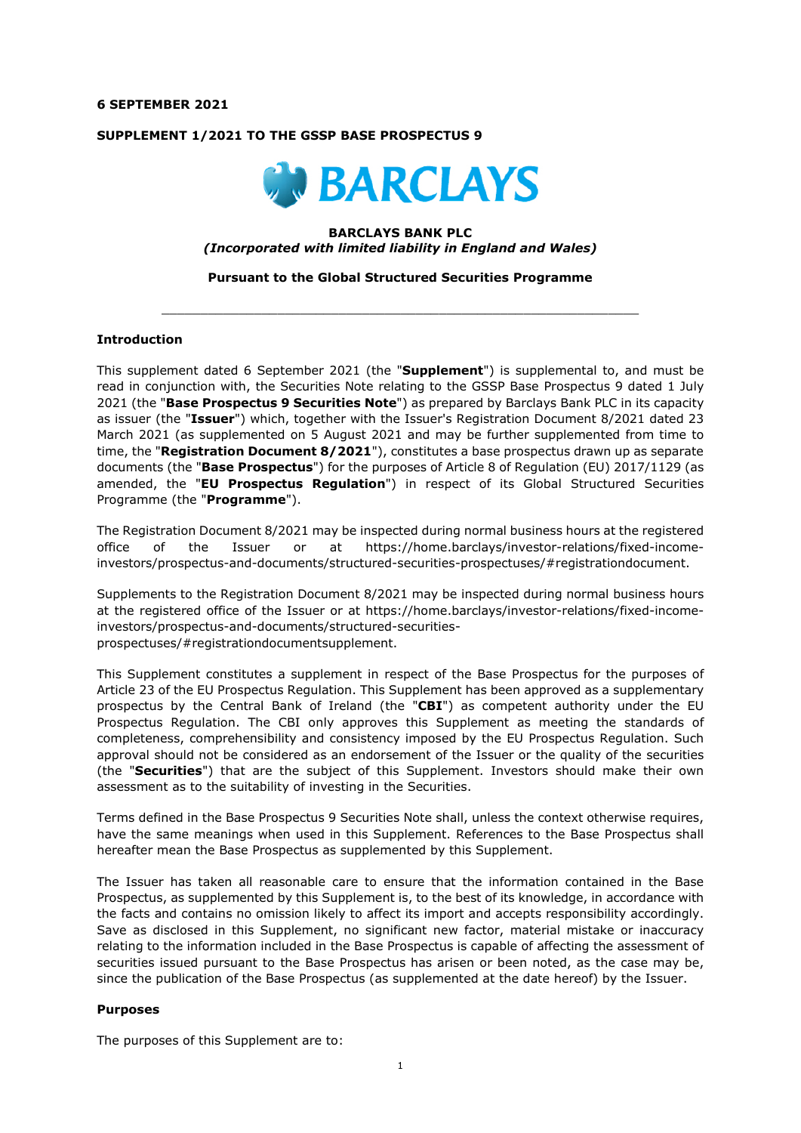#### **6 SEPTEMBER 2021**

### **SUPPLEMENT 1/2021 TO THE GSSP BASE PROSPECTUS 9**



### **BARCLAYS BANK PLC**  *(Incorporated with limited liability in England and Wales)*

### **Pursuant to the Global Structured Securities Programme**

 $\_$  ,  $\_$  ,  $\_$  ,  $\_$  ,  $\_$  ,  $\_$  ,  $\_$  ,  $\_$  ,  $\_$  ,  $\_$  ,  $\_$  ,  $\_$  ,  $\_$  ,  $\_$  ,  $\_$  ,  $\_$  ,  $\_$  ,  $\_$  ,  $\_$ 

#### **Introduction**

This supplement dated 6 September 2021 (the "**Supplement**") is supplemental to, and must be read in conjunction with, the Securities Note relating to the GSSP Base Prospectus 9 dated 1 July 2021 (the "**Base Prospectus 9 Securities Note**") as prepared by Barclays Bank PLC in its capacity as issuer (the "**Issuer**") which, together with the Issuer's Registration Document 8/2021 dated 23 March 2021 (as supplemented on 5 August 2021 and may be further supplemented from time to time, the "**Registration Document 8/2021**"), constitutes a base prospectus drawn up as separate documents (the "**Base Prospectus**") for the purposes of Article 8 of Regulation (EU) 2017/1129 (as amended, the "**EU Prospectus Regulation**") in respect of its Global Structured Securities Programme (the "**Programme**").

The Registration Document 8/2021 may be inspected during normal business hours at the registered office of the Issuer or at https://home.barclays/investor-relations/fixed-incomeinvestors/prospectus-and-documents/structured-securities-prospectuses/#registrationdocument.

Supplements to the Registration Document 8/2021 may be inspected during normal business hours at the registered office of the Issuer or at https://home.barclays/investor-relations/fixed-incomeinvestors/prospectus-and-documents/structured-securitiesprospectuses/#registrationdocumentsupplement.

This Supplement constitutes a supplement in respect of the Base Prospectus for the purposes of Article 23 of the EU Prospectus Regulation. This Supplement has been approved as a supplementary prospectus by the Central Bank of Ireland (the "**CBI**") as competent authority under the EU Prospectus Regulation. The CBI only approves this Supplement as meeting the standards of completeness, comprehensibility and consistency imposed by the EU Prospectus Regulation. Such approval should not be considered as an endorsement of the Issuer or the quality of the securities (the "**Securities**") that are the subject of this Supplement. Investors should make their own assessment as to the suitability of investing in the Securities.

Terms defined in the Base Prospectus 9 Securities Note shall, unless the context otherwise requires, have the same meanings when used in this Supplement. References to the Base Prospectus shall hereafter mean the Base Prospectus as supplemented by this Supplement.

The Issuer has taken all reasonable care to ensure that the information contained in the Base Prospectus, as supplemented by this Supplement is, to the best of its knowledge, in accordance with the facts and contains no omission likely to affect its import and accepts responsibility accordingly. Save as disclosed in this Supplement, no significant new factor, material mistake or inaccuracy relating to the information included in the Base Prospectus is capable of affecting the assessment of securities issued pursuant to the Base Prospectus has arisen or been noted, as the case may be, since the publication of the Base Prospectus (as supplemented at the date hereof) by the Issuer.

### **Purposes**

The purposes of this Supplement are to: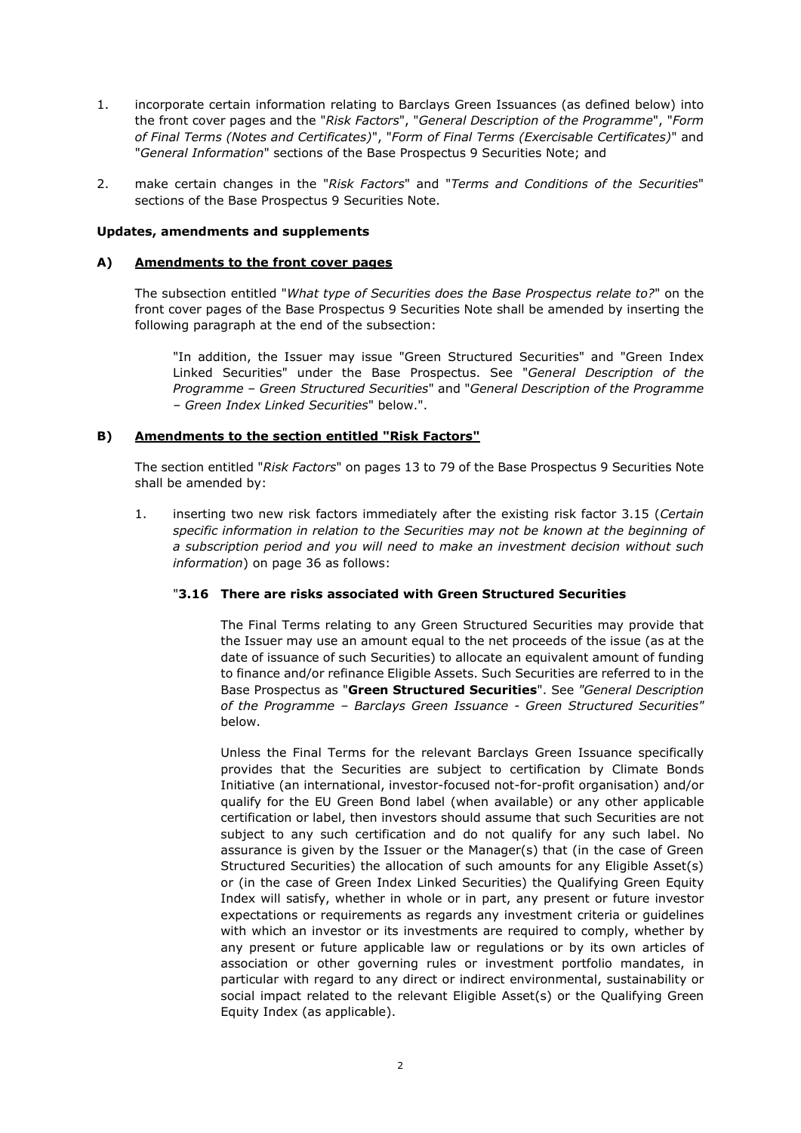- 1. incorporate certain information relating to Barclays Green Issuances (as defined below) into the front cover pages and the "*Risk Factors*", "*General Description of the Programme*", "*Form of Final Terms (Notes and Certificates)*", "*Form of Final Terms (Exercisable Certificates)*" and "*General Information*" sections of the Base Prospectus 9 Securities Note; and
- 2. make certain changes in the "*Risk Factors*" and "*Terms and Conditions of the Securities*" sections of the Base Prospectus 9 Securities Note.

### **Updates, amendments and supplements**

# **A) Amendments to the front cover pages**

The subsection entitled "*What type of Securities does the Base Prospectus relate to?*" on the front cover pages of the Base Prospectus 9 Securities Note shall be amended by inserting the following paragraph at the end of the subsection:

"In addition, the Issuer may issue "Green Structured Securities" and "Green Index Linked Securities" under the Base Prospectus. See "*General Description of the Programme – Green Structured Securities*" and "*General Description of the Programme – Green Index Linked Securities*" below.".

# **B) Amendments to the section entitled "Risk Factors"**

The section entitled "*Risk Factors*" on pages 13 to 79 of the Base Prospectus 9 Securities Note shall be amended by:

1. inserting two new risk factors immediately after the existing risk factor 3.15 (*Certain specific information in relation to the Securities may not be known at the beginning of a subscription period and you will need to make an investment decision without such information*) on page 36 as follows:

# "**3.16 There are risks associated with Green Structured Securities**

The Final Terms relating to any Green Structured Securities may provide that the Issuer may use an amount equal to the net proceeds of the issue (as at the date of issuance of such Securities) to allocate an equivalent amount of funding to finance and/or refinance Eligible Assets. Such Securities are referred to in the Base Prospectus as "**Green Structured Securities**". See *"General Description of the Programme – Barclays Green Issuance - Green Structured Securities"* below.

Unless the Final Terms for the relevant Barclays Green Issuance specifically provides that the Securities are subject to certification by Climate Bonds Initiative (an international, investor-focused not-for-profit organisation) and/or qualify for the EU Green Bond label (when available) or any other applicable certification or label, then investors should assume that such Securities are not subject to any such certification and do not qualify for any such label. No assurance is given by the Issuer or the Manager(s) that (in the case of Green Structured Securities) the allocation of such amounts for any Eligible Asset(s) or (in the case of Green Index Linked Securities) the Qualifying Green Equity Index will satisfy, whether in whole or in part, any present or future investor expectations or requirements as regards any investment criteria or guidelines with which an investor or its investments are required to comply, whether by any present or future applicable law or regulations or by its own articles of association or other governing rules or investment portfolio mandates, in particular with regard to any direct or indirect environmental, sustainability or social impact related to the relevant Eligible Asset(s) or the Qualifying Green Equity Index (as applicable).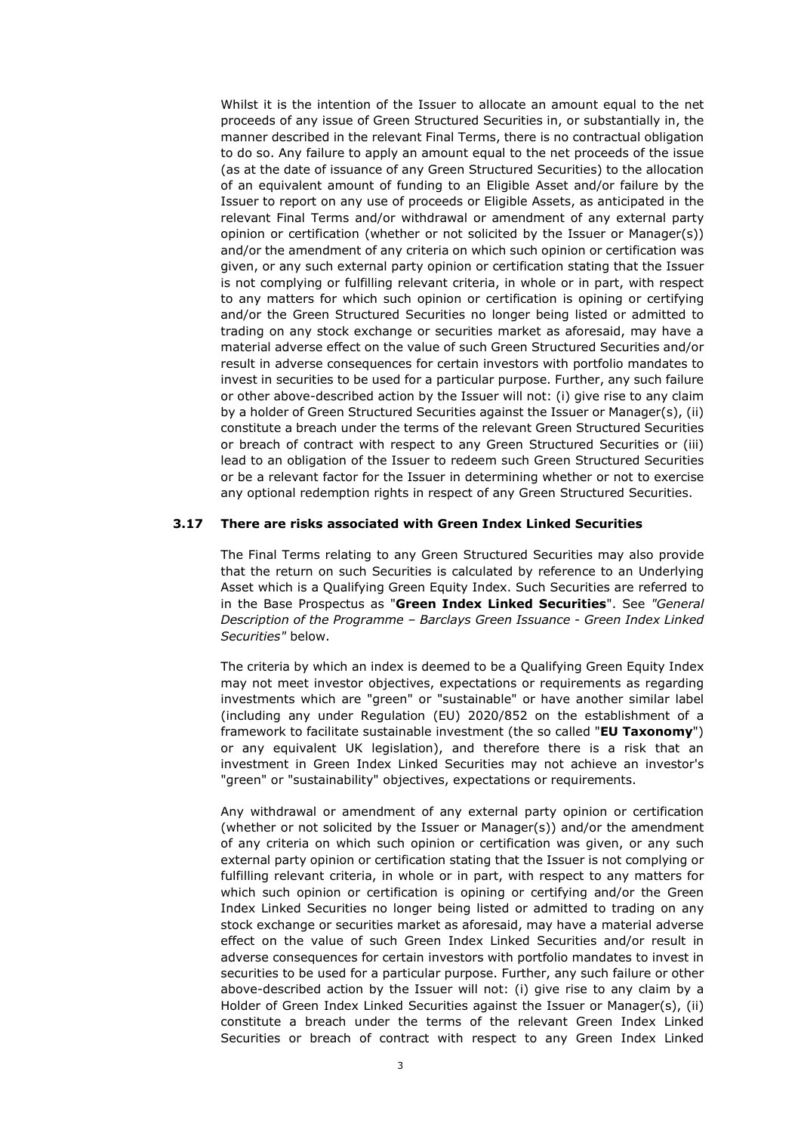Whilst it is the intention of the Issuer to allocate an amount equal to the net proceeds of any issue of Green Structured Securities in, or substantially in, the manner described in the relevant Final Terms, there is no contractual obligation to do so. Any failure to apply an amount equal to the net proceeds of the issue (as at the date of issuance of any Green Structured Securities) to the allocation of an equivalent amount of funding to an Eligible Asset and/or failure by the Issuer to report on any use of proceeds or Eligible Assets, as anticipated in the relevant Final Terms and/or withdrawal or amendment of any external party opinion or certification (whether or not solicited by the Issuer or Manager(s)) and/or the amendment of any criteria on which such opinion or certification was given, or any such external party opinion or certification stating that the Issuer is not complying or fulfilling relevant criteria, in whole or in part, with respect to any matters for which such opinion or certification is opining or certifying and/or the Green Structured Securities no longer being listed or admitted to trading on any stock exchange or securities market as aforesaid, may have a material adverse effect on the value of such Green Structured Securities and/or result in adverse consequences for certain investors with portfolio mandates to invest in securities to be used for a particular purpose. Further, any such failure or other above-described action by the Issuer will not: (i) give rise to any claim by a holder of Green Structured Securities against the Issuer or Manager(s), (ii) constitute a breach under the terms of the relevant Green Structured Securities or breach of contract with respect to any Green Structured Securities or (iii) lead to an obligation of the Issuer to redeem such Green Structured Securities or be a relevant factor for the Issuer in determining whether or not to exercise any optional redemption rights in respect of any Green Structured Securities.

### **3.17 There are risks associated with Green Index Linked Securities**

The Final Terms relating to any Green Structured Securities may also provide that the return on such Securities is calculated by reference to an Underlying Asset which is a Qualifying Green Equity Index. Such Securities are referred to in the Base Prospectus as "**Green Index Linked Securities**". See *"General Description of the Programme – Barclays Green Issuance - Green Index Linked Securities"* below.

The criteria by which an index is deemed to be a Qualifying Green Equity Index may not meet investor objectives, expectations or requirements as regarding investments which are "green" or "sustainable" or have another similar label (including any under Regulation (EU) 2020/852 on the establishment of a framework to facilitate sustainable investment (the so called "**EU Taxonomy**") or any equivalent UK legislation), and therefore there is a risk that an investment in Green Index Linked Securities may not achieve an investor's "green" or "sustainability" objectives, expectations or requirements.

Any withdrawal or amendment of any external party opinion or certification (whether or not solicited by the Issuer or Manager(s)) and/or the amendment of any criteria on which such opinion or certification was given, or any such external party opinion or certification stating that the Issuer is not complying or fulfilling relevant criteria, in whole or in part, with respect to any matters for which such opinion or certification is opining or certifying and/or the Green Index Linked Securities no longer being listed or admitted to trading on any stock exchange or securities market as aforesaid, may have a material adverse effect on the value of such Green Index Linked Securities and/or result in adverse consequences for certain investors with portfolio mandates to invest in securities to be used for a particular purpose. Further, any such failure or other above-described action by the Issuer will not: (i) give rise to any claim by a Holder of Green Index Linked Securities against the Issuer or Manager(s), (ii) constitute a breach under the terms of the relevant Green Index Linked Securities or breach of contract with respect to any Green Index Linked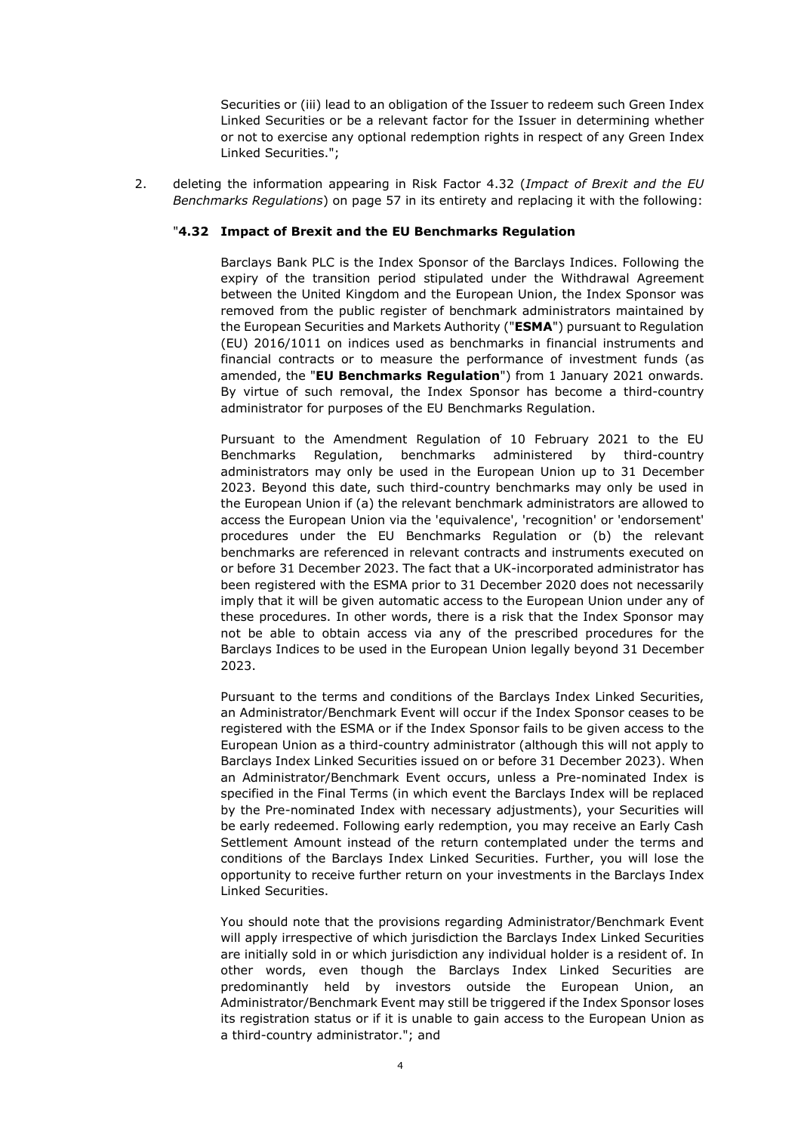Securities or (iii) lead to an obligation of the Issuer to redeem such Green Index Linked Securities or be a relevant factor for the Issuer in determining whether or not to exercise any optional redemption rights in respect of any Green Index Linked Securities.";

2. deleting the information appearing in Risk Factor 4.32 (*Impact of Brexit and the EU Benchmarks Regulations*) on page 57 in its entirety and replacing it with the following:

### "**4.32 Impact of Brexit and the EU Benchmarks Regulation**

Barclays Bank PLC is the Index Sponsor of the Barclays Indices. Following the expiry of the transition period stipulated under the Withdrawal Agreement between the United Kingdom and the European Union, the Index Sponsor was removed from the public register of benchmark administrators maintained by the European Securities and Markets Authority ("**ESMA**") pursuant to Regulation (EU) 2016/1011 on indices used as benchmarks in financial instruments and financial contracts or to measure the performance of investment funds (as amended, the "**EU Benchmarks Regulation**") from 1 January 2021 onwards. By virtue of such removal, the Index Sponsor has become a third-country administrator for purposes of the EU Benchmarks Regulation.

Pursuant to the Amendment Regulation of 10 February 2021 to the EU Benchmarks Regulation, benchmarks administered by third-country administrators may only be used in the European Union up to 31 December 2023. Beyond this date, such third-country benchmarks may only be used in the European Union if (a) the relevant benchmark administrators are allowed to access the European Union via the 'equivalence', 'recognition' or 'endorsement' procedures under the EU Benchmarks Regulation or (b) the relevant benchmarks are referenced in relevant contracts and instruments executed on or before 31 December 2023. The fact that a UK-incorporated administrator has been registered with the ESMA prior to 31 December 2020 does not necessarily imply that it will be given automatic access to the European Union under any of these procedures. In other words, there is a risk that the Index Sponsor may not be able to obtain access via any of the prescribed procedures for the Barclays Indices to be used in the European Union legally beyond 31 December 2023.

Pursuant to the terms and conditions of the Barclays Index Linked Securities, an Administrator/Benchmark Event will occur if the Index Sponsor ceases to be registered with the ESMA or if the Index Sponsor fails to be given access to the European Union as a third-country administrator (although this will not apply to Barclays Index Linked Securities issued on or before 31 December 2023). When an Administrator/Benchmark Event occurs, unless a Pre-nominated Index is specified in the Final Terms (in which event the Barclays Index will be replaced by the Pre-nominated Index with necessary adjustments), your Securities will be early redeemed. Following early redemption, you may receive an Early Cash Settlement Amount instead of the return contemplated under the terms and conditions of the Barclays Index Linked Securities. Further, you will lose the opportunity to receive further return on your investments in the Barclays Index Linked Securities.

You should note that the provisions regarding Administrator/Benchmark Event will apply irrespective of which jurisdiction the Barclays Index Linked Securities are initially sold in or which jurisdiction any individual holder is a resident of. In other words, even though the Barclays Index Linked Securities are predominantly held by investors outside the European Union, an Administrator/Benchmark Event may still be triggered if the Index Sponsor loses its registration status or if it is unable to gain access to the European Union as a third-country administrator."; and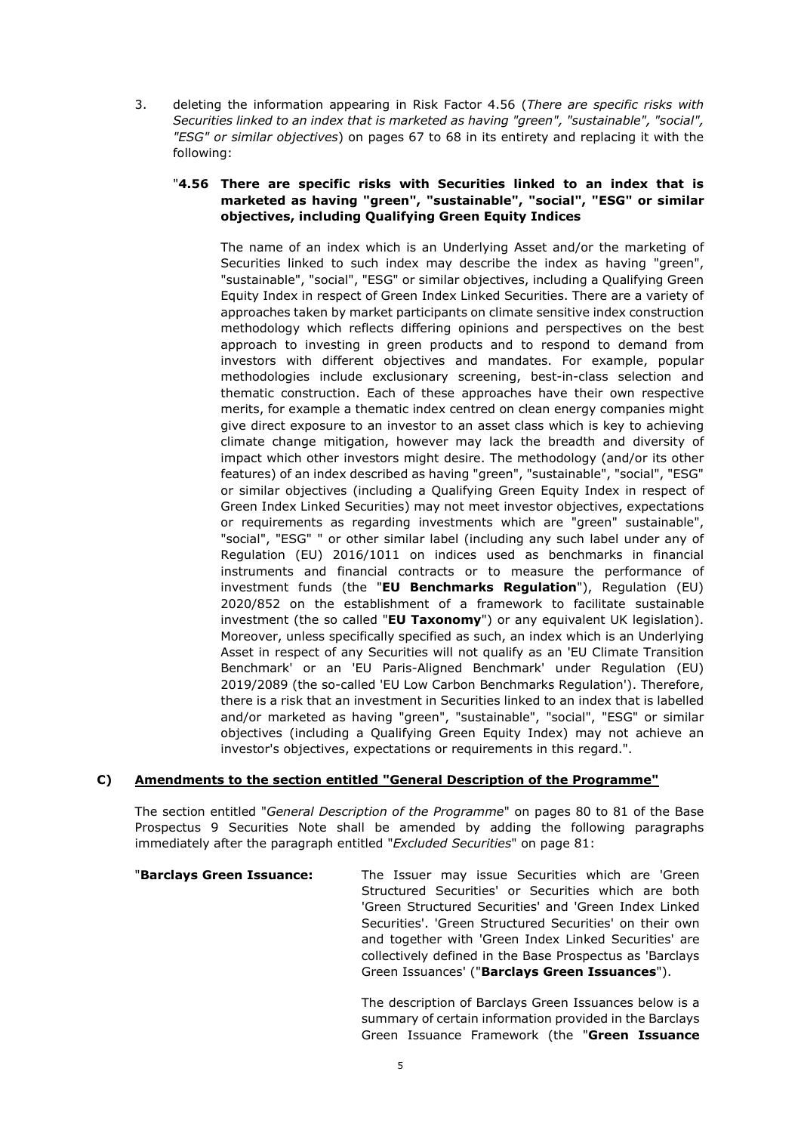3. deleting the information appearing in Risk Factor 4.56 (*There are specific risks with Securities linked to an index that is marketed as having "green", "sustainable", "social", "ESG" or similar objectives*) on pages 67 to 68 in its entirety and replacing it with the following:

## "**4.56 There are specific risks with Securities linked to an index that is marketed as having "green", "sustainable", "social", "ESG" or similar objectives, including Qualifying Green Equity Indices**

The name of an index which is an Underlying Asset and/or the marketing of Securities linked to such index may describe the index as having "green", "sustainable", "social", "ESG" or similar objectives, including a Qualifying Green Equity Index in respect of Green Index Linked Securities. There are a variety of approaches taken by market participants on climate sensitive index construction methodology which reflects differing opinions and perspectives on the best approach to investing in green products and to respond to demand from investors with different objectives and mandates. For example, popular methodologies include exclusionary screening, best-in-class selection and thematic construction. Each of these approaches have their own respective merits, for example a thematic index centred on clean energy companies might give direct exposure to an investor to an asset class which is key to achieving climate change mitigation, however may lack the breadth and diversity of impact which other investors might desire. The methodology (and/or its other features) of an index described as having "green", "sustainable", "social", "ESG" or similar objectives (including a Qualifying Green Equity Index in respect of Green Index Linked Securities) may not meet investor objectives, expectations or requirements as regarding investments which are "green" sustainable", "social", "ESG" " or other similar label (including any such label under any of Regulation (EU) 2016/1011 on indices used as benchmarks in financial instruments and financial contracts or to measure the performance of investment funds (the "**EU Benchmarks Regulation**"), Regulation (EU) 2020/852 on the establishment of a framework to facilitate sustainable investment (the so called "**EU Taxonomy**") or any equivalent UK legislation). Moreover, unless specifically specified as such, an index which is an Underlying Asset in respect of any Securities will not qualify as an 'EU Climate Transition Benchmark' or an 'EU Paris-Aligned Benchmark' under Regulation (EU) 2019/2089 (the so-called 'EU Low Carbon Benchmarks Regulation'). Therefore, there is a risk that an investment in Securities linked to an index that is labelled and/or marketed as having "green", "sustainable", "social", "ESG" or similar objectives (including a Qualifying Green Equity Index) may not achieve an investor's objectives, expectations or requirements in this regard.".

# **C) Amendments to the section entitled "General Description of the Programme"**

The section entitled "*General Description of the Programme*" on pages 80 to 81 of the Base Prospectus 9 Securities Note shall be amended by adding the following paragraphs immediately after the paragraph entitled "*Excluded Securities*" on page 81:

"**Barclays Green Issuance:** The Issuer may issue Securities which are 'Green Structured Securities' or Securities which are both 'Green Structured Securities' and 'Green Index Linked Securities'. 'Green Structured Securities' on their own and together with 'Green Index Linked Securities' are collectively defined in the Base Prospectus as 'Barclays Green Issuances' ("**Barclays Green Issuances**").

> The description of Barclays Green Issuances below is a summary of certain information provided in the Barclays Green Issuance Framework (the "**Green Issuance**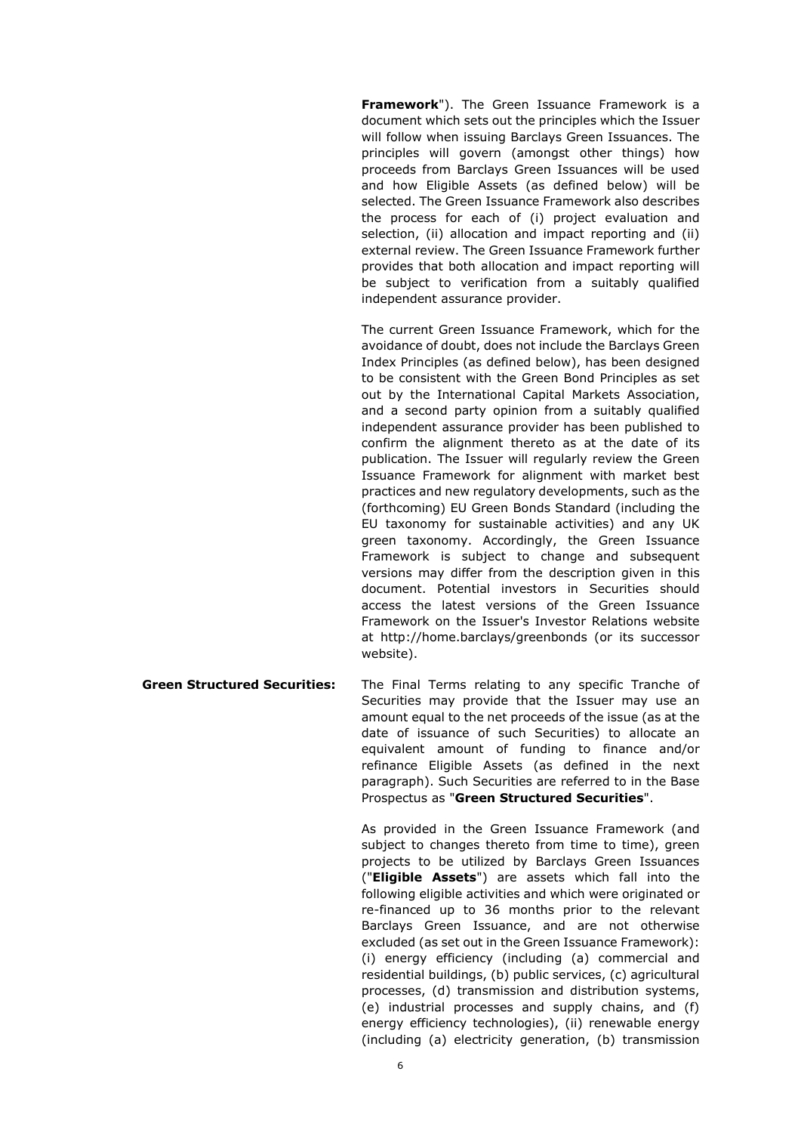**Framework**"). The Green Issuance Framework is a document which sets out the principles which the Issuer will follow when issuing Barclays Green Issuances. The principles will govern (amongst other things) how proceeds from Barclays Green Issuances will be used and how Eligible Assets (as defined below) will be selected. The Green Issuance Framework also describes the process for each of (i) project evaluation and selection, (ii) allocation and impact reporting and (ii) external review. The Green Issuance Framework further provides that both allocation and impact reporting will be subject to verification from a suitably qualified independent assurance provider.

The current Green Issuance Framework, which for the avoidance of doubt, does not include the Barclays Green Index Principles (as defined below), has been designed to be consistent with the Green Bond Principles as set out by the International Capital Markets Association, and a second party opinion from a suitably qualified independent assurance provider has been published to confirm the alignment thereto as at the date of its publication. The Issuer will regularly review the Green Issuance Framework for alignment with market best practices and new regulatory developments, such as the (forthcoming) EU Green Bonds Standard (including the EU taxonomy for sustainable activities) and any UK green taxonomy. Accordingly, the Green Issuance Framework is subject to change and subsequent versions may differ from the description given in this document. Potential investors in Securities should access the latest versions of the Green Issuance Framework on the Issuer's Investor Relations website at http://home.barclays/greenbonds (or its successor website).

**Green Structured Securities:** The Final Terms relating to any specific Tranche of Securities may provide that the Issuer may use an amount equal to the net proceeds of the issue (as at the date of issuance of such Securities) to allocate an equivalent amount of funding to finance and/or refinance Eligible Assets (as defined in the next paragraph). Such Securities are referred to in the Base Prospectus as "**Green Structured Securities**".

> As provided in the Green Issuance Framework (and subject to changes thereto from time to time), green projects to be utilized by Barclays Green Issuances ("**Eligible Assets**") are assets which fall into the following eligible activities and which were originated or re-financed up to 36 months prior to the relevant Barclays Green Issuance, and are not otherwise excluded (as set out in the Green Issuance Framework): (i) energy efficiency (including (a) commercial and residential buildings, (b) public services, (c) agricultural processes, (d) transmission and distribution systems, (e) industrial processes and supply chains, and (f) energy efficiency technologies), (ii) renewable energy (including (a) electricity generation, (b) transmission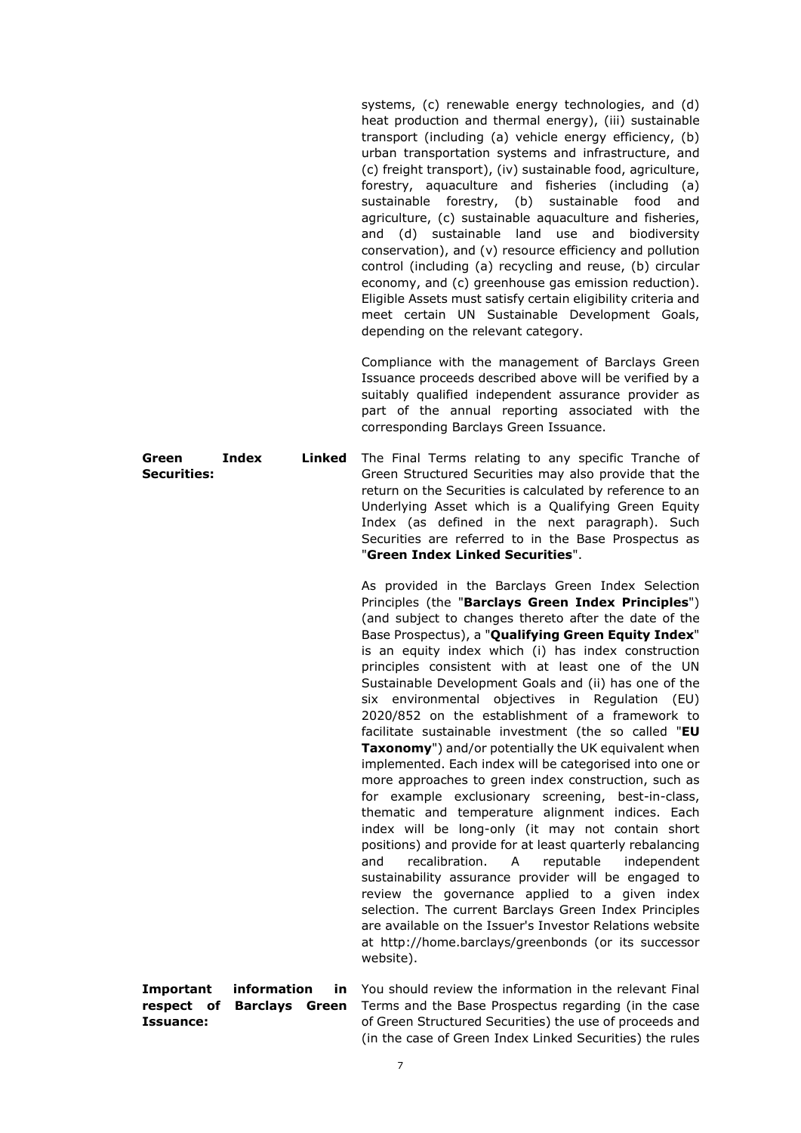systems, (c) renewable energy technologies, and (d) heat production and thermal energy), (iii) sustainable transport (including (a) vehicle energy efficiency, (b) urban transportation systems and infrastructure, and (c) freight transport), (iv) sustainable food, agriculture, forestry, aquaculture and fisheries (including (a) sustainable forestry, (b) sustainable food and agriculture, (c) sustainable aquaculture and fisheries, and (d) sustainable land use and biodiversity conservation), and (v) resource efficiency and pollution control (including (a) recycling and reuse, (b) circular economy, and (c) greenhouse gas emission reduction). Eligible Assets must satisfy certain eligibility criteria and meet certain UN Sustainable Development Goals, depending on the relevant category.

Compliance with the management of Barclays Green Issuance proceeds described above will be verified by a suitably qualified independent assurance provider as part of the annual reporting associated with the corresponding Barclays Green Issuance.

**Green Index Linked Securities:**  The Final Terms relating to any specific Tranche of Green Structured Securities may also provide that the return on the Securities is calculated by reference to an Underlying Asset which is a Qualifying Green Equity Index (as defined in the next paragraph). Such Securities are referred to in the Base Prospectus as "**Green Index Linked Securities**".

> As provided in the Barclays Green Index Selection Principles (the "**Barclays Green Index Principles**") (and subject to changes thereto after the date of the Base Prospectus), a "**Qualifying Green Equity Index**" is an equity index which (i) has index construction principles consistent with at least one of the UN Sustainable Development Goals and (ii) has one of the six environmental objectives in Regulation (EU) 2020/852 on the establishment of a framework to facilitate sustainable investment (the so called "**EU Taxonomy**") and/or potentially the UK equivalent when implemented. Each index will be categorised into one or more approaches to green index construction, such as for example exclusionary screening, best-in-class, thematic and temperature alignment indices. Each index will be long-only (it may not contain short positions) and provide for at least quarterly rebalancing and recalibration. A reputable independent sustainability assurance provider will be engaged to review the governance applied to a given index selection. The current Barclays Green Index Principles are available on the Issuer's Investor Relations website at http://home.barclays/greenbonds (or its successor website).

**Important** information **respect of Barclays Green Issuance:**  in You should review the information in the relevant Final Terms and the Base Prospectus regarding (in the case of Green Structured Securities) the use of proceeds and (in the case of Green Index Linked Securities) the rules

7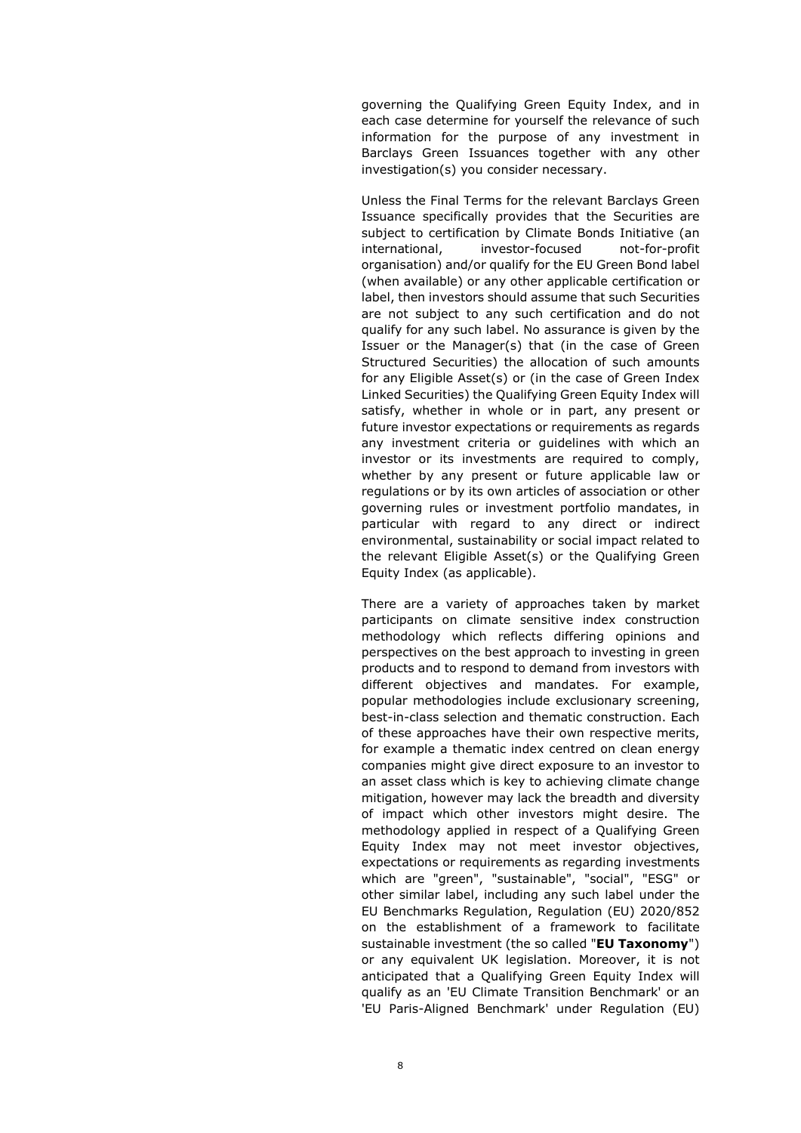governing the Qualifying Green Equity Index, and in each case determine for yourself the relevance of such information for the purpose of any investment in Barclays Green Issuances together with any other investigation(s) you consider necessary.

Unless the Final Terms for the relevant Barclays Green Issuance specifically provides that the Securities are subject to certification by Climate Bonds Initiative (an international, investor-focused not-for-profit organisation) and/or qualify for the EU Green Bond label (when available) or any other applicable certification or label, then investors should assume that such Securities are not subject to any such certification and do not qualify for any such label. No assurance is given by the Issuer or the Manager(s) that (in the case of Green Structured Securities) the allocation of such amounts for any Eligible Asset(s) or (in the case of Green Index Linked Securities) the Qualifying Green Equity Index will satisfy, whether in whole or in part, any present or future investor expectations or requirements as regards any investment criteria or guidelines with which an investor or its investments are required to comply, whether by any present or future applicable law or regulations or by its own articles of association or other governing rules or investment portfolio mandates, in particular with regard to any direct or indirect environmental, sustainability or social impact related to the relevant Eligible Asset(s) or the Qualifying Green Equity Index (as applicable).

There are a variety of approaches taken by market participants on climate sensitive index construction methodology which reflects differing opinions and perspectives on the best approach to investing in green products and to respond to demand from investors with different objectives and mandates. For example, popular methodologies include exclusionary screening, best-in-class selection and thematic construction. Each of these approaches have their own respective merits, for example a thematic index centred on clean energy companies might give direct exposure to an investor to an asset class which is key to achieving climate change mitigation, however may lack the breadth and diversity of impact which other investors might desire. The methodology applied in respect of a Qualifying Green Equity Index may not meet investor objectives, expectations or requirements as regarding investments which are "green", "sustainable", "social", "ESG" or other similar label, including any such label under the EU Benchmarks Regulation, Regulation (EU) 2020/852 on the establishment of a framework to facilitate sustainable investment (the so called "**EU Taxonomy**") or any equivalent UK legislation. Moreover, it is not anticipated that a Qualifying Green Equity Index will qualify as an 'EU Climate Transition Benchmark' or an 'EU Paris-Aligned Benchmark' under Regulation (EU)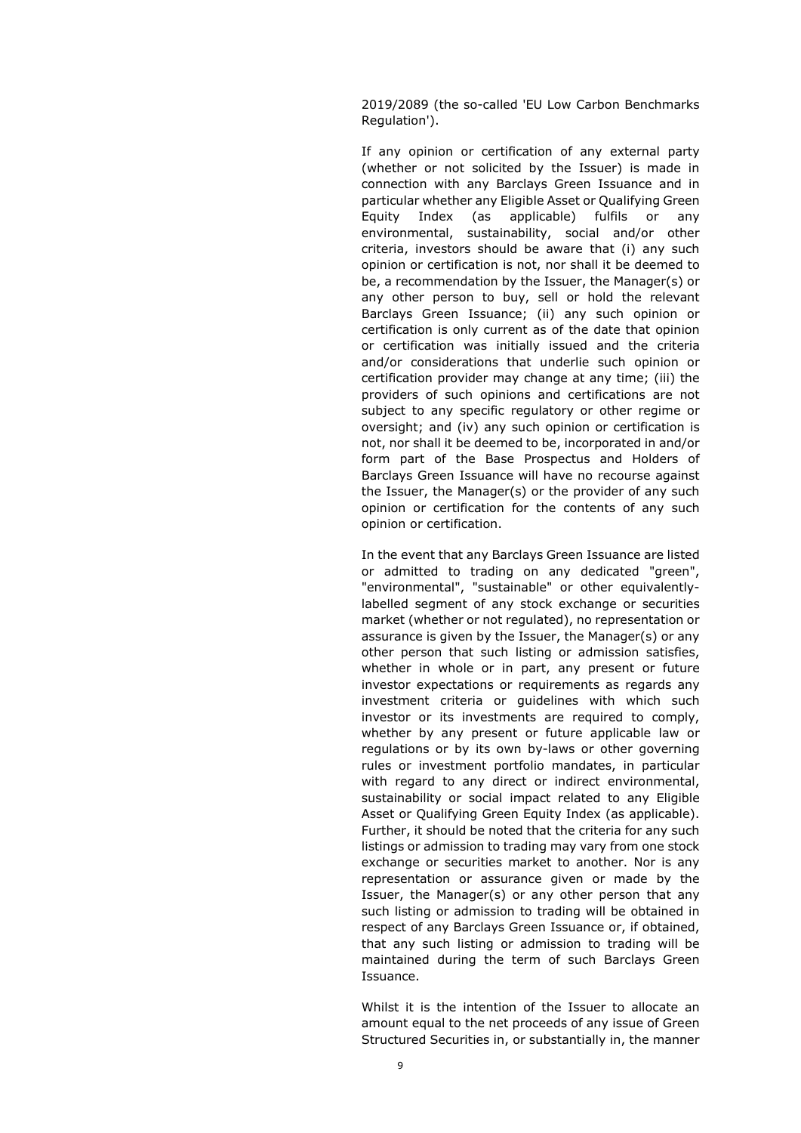2019/2089 (the so-called 'EU Low Carbon Benchmarks Regulation').

If any opinion or certification of any external party (whether or not solicited by the Issuer) is made in connection with any Barclays Green Issuance and in particular whether any Eligible Asset or Qualifying Green Equity Index (as applicable) fulfils or any environmental, sustainability, social and/or other criteria, investors should be aware that (i) any such opinion or certification is not, nor shall it be deemed to be, a recommendation by the Issuer, the Manager(s) or any other person to buy, sell or hold the relevant Barclays Green Issuance; (ii) any such opinion or certification is only current as of the date that opinion or certification was initially issued and the criteria and/or considerations that underlie such opinion or certification provider may change at any time; (iii) the providers of such opinions and certifications are not subject to any specific regulatory or other regime or oversight; and (iv) any such opinion or certification is not, nor shall it be deemed to be, incorporated in and/or form part of the Base Prospectus and Holders of Barclays Green Issuance will have no recourse against the Issuer, the Manager(s) or the provider of any such opinion or certification for the contents of any such opinion or certification.

In the event that any Barclays Green Issuance are listed or admitted to trading on any dedicated "green", "environmental", "sustainable" or other equivalentlylabelled segment of any stock exchange or securities market (whether or not regulated), no representation or assurance is given by the Issuer, the Manager(s) or any other person that such listing or admission satisfies, whether in whole or in part, any present or future investor expectations or requirements as regards any investment criteria or guidelines with which such investor or its investments are required to comply, whether by any present or future applicable law or regulations or by its own by-laws or other governing rules or investment portfolio mandates, in particular with regard to any direct or indirect environmental, sustainability or social impact related to any Eligible Asset or Qualifying Green Equity Index (as applicable). Further, it should be noted that the criteria for any such listings or admission to trading may vary from one stock exchange or securities market to another. Nor is any representation or assurance given or made by the Issuer, the Manager(s) or any other person that any such listing or admission to trading will be obtained in respect of any Barclays Green Issuance or, if obtained, that any such listing or admission to trading will be maintained during the term of such Barclays Green Issuance.

Whilst it is the intention of the Issuer to allocate an amount equal to the net proceeds of any issue of Green Structured Securities in, or substantially in, the manner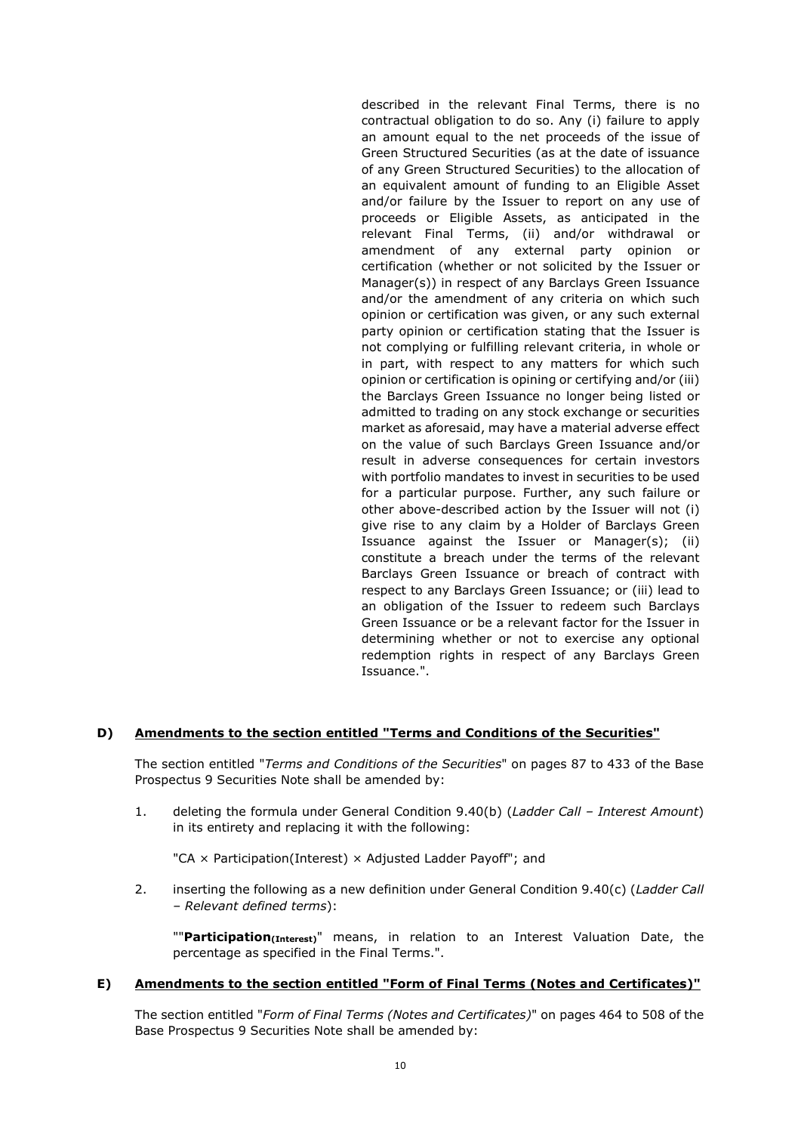described in the relevant Final Terms, there is no contractual obligation to do so. Any (i) failure to apply an amount equal to the net proceeds of the issue of Green Structured Securities (as at the date of issuance of any Green Structured Securities) to the allocation of an equivalent amount of funding to an Eligible Asset and/or failure by the Issuer to report on any use of proceeds or Eligible Assets, as anticipated in the relevant Final Terms, (ii) and/or withdrawal or amendment of any external party opinion or certification (whether or not solicited by the Issuer or Manager(s)) in respect of any Barclays Green Issuance and/or the amendment of any criteria on which such opinion or certification was given, or any such external party opinion or certification stating that the Issuer is not complying or fulfilling relevant criteria, in whole or in part, with respect to any matters for which such opinion or certification is opining or certifying and/or (iii) the Barclays Green Issuance no longer being listed or admitted to trading on any stock exchange or securities market as aforesaid, may have a material adverse effect on the value of such Barclays Green Issuance and/or result in adverse consequences for certain investors with portfolio mandates to invest in securities to be used for a particular purpose. Further, any such failure or other above-described action by the Issuer will not (i) give rise to any claim by a Holder of Barclays Green Issuance against the Issuer or Manager(s); (ii) constitute a breach under the terms of the relevant Barclays Green Issuance or breach of contract with respect to any Barclays Green Issuance; or (iii) lead to an obligation of the Issuer to redeem such Barclays Green Issuance or be a relevant factor for the Issuer in determining whether or not to exercise any optional redemption rights in respect of any Barclays Green Issuance.".

### **D) Amendments to the section entitled "Terms and Conditions of the Securities"**

The section entitled "*Terms and Conditions of the Securities*" on pages 87 to 433 of the Base Prospectus 9 Securities Note shall be amended by:

1. deleting the formula under General Condition 9.40(b) (*Ladder Call – Interest Amount*) in its entirety and replacing it with the following:

"CA  $\times$  Participation(Interest)  $\times$  Adjusted Ladder Payoff"; and

2. inserting the following as a new definition under General Condition 9.40(c) (*Ladder Call – Relevant defined terms*):

""**Participation(Interest)**" means, in relation to an Interest Valuation Date, the percentage as specified in the Final Terms.".

#### **E) Amendments to the section entitled "Form of Final Terms (Notes and Certificates)"**

The section entitled "*Form of Final Terms (Notes and Certificates)*" on pages 464 to 508 of the Base Prospectus 9 Securities Note shall be amended by: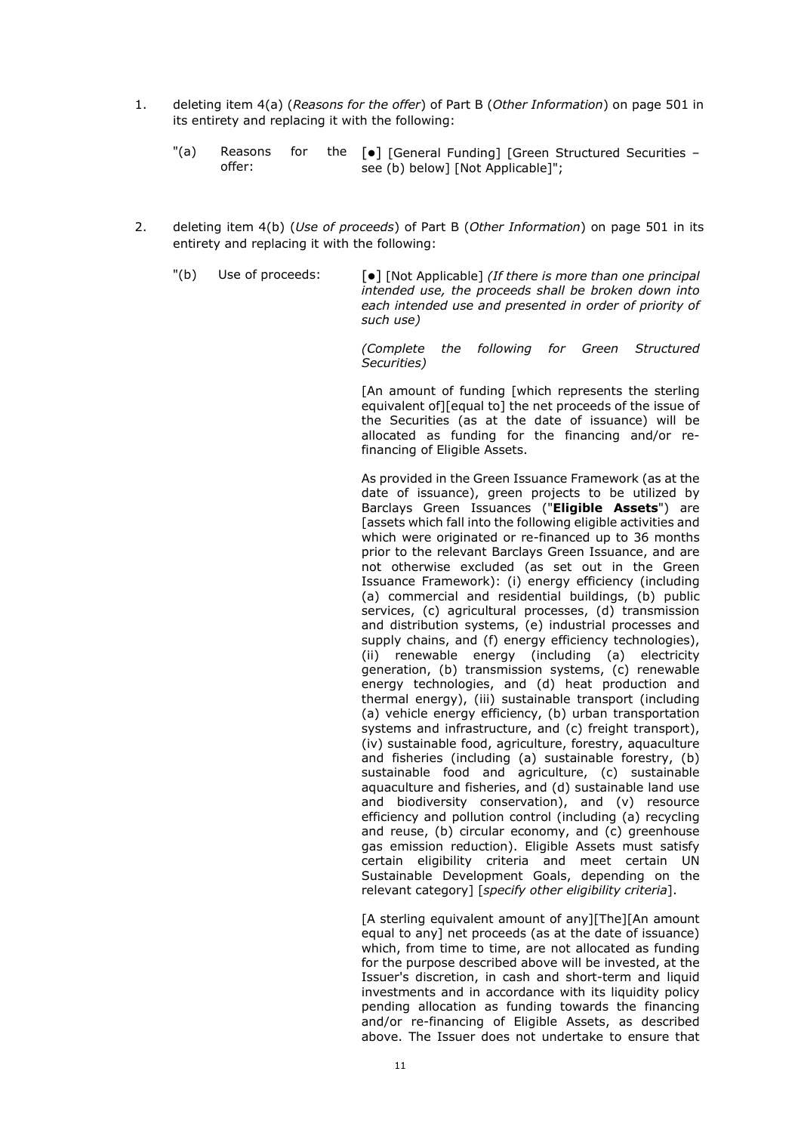- 1. deleting item 4(a) (*Reasons for the offer*) of Part B (*Other Information*) on page 501 in its entirety and replacing it with the following:
	- $"$ (a) Reasons for offer: the  $[\bullet]$  [General Funding] [Green Structured Securities – see (b) below] [Not Applicable]";
- 2. deleting item 4(b) (*Use of proceeds*) of Part B (*Other Information*) on page 501 in its entirety and replacing it with the following:

"(b) Use of proceeds:  $\lceil \bullet \rceil$  [Not Applicable] *(If there is more than one principal intended use, the proceeds shall be broken down into each intended use and presented in order of priority of such use)* 

> *(Complete the following for Green Structured Securities)*

> [An amount of funding [which represents the sterling equivalent of][equal to] the net proceeds of the issue of the Securities (as at the date of issuance) will be allocated as funding for the financing and/or refinancing of Eligible Assets.

> As provided in the Green Issuance Framework (as at the date of issuance), green projects to be utilized by Barclays Green Issuances ("**Eligible Assets**") are [assets which fall into the following eligible activities and which were originated or re-financed up to 36 months prior to the relevant Barclays Green Issuance, and are not otherwise excluded (as set out in the Green Issuance Framework): (i) energy efficiency (including (a) commercial and residential buildings, (b) public services, (c) agricultural processes, (d) transmission and distribution systems, (e) industrial processes and supply chains, and (f) energy efficiency technologies), (ii) renewable energy (including (a) electricity generation, (b) transmission systems, (c) renewable energy technologies, and (d) heat production and thermal energy), (iii) sustainable transport (including (a) vehicle energy efficiency, (b) urban transportation systems and infrastructure, and (c) freight transport), (iv) sustainable food, agriculture, forestry, aquaculture and fisheries (including (a) sustainable forestry, (b) sustainable food and agriculture, (c) sustainable aquaculture and fisheries, and (d) sustainable land use and biodiversity conservation), and (v) resource efficiency and pollution control (including (a) recycling and reuse, (b) circular economy, and (c) greenhouse gas emission reduction). Eligible Assets must satisfy certain eligibility criteria and meet certain UN Sustainable Development Goals, depending on the relevant category] [*specify other eligibility criteria*].

> [A sterling equivalent amount of any][The][An amount equal to any] net proceeds (as at the date of issuance) which, from time to time, are not allocated as funding for the purpose described above will be invested, at the Issuer's discretion, in cash and short-term and liquid investments and in accordance with its liquidity policy pending allocation as funding towards the financing and/or re-financing of Eligible Assets, as described above. The Issuer does not undertake to ensure that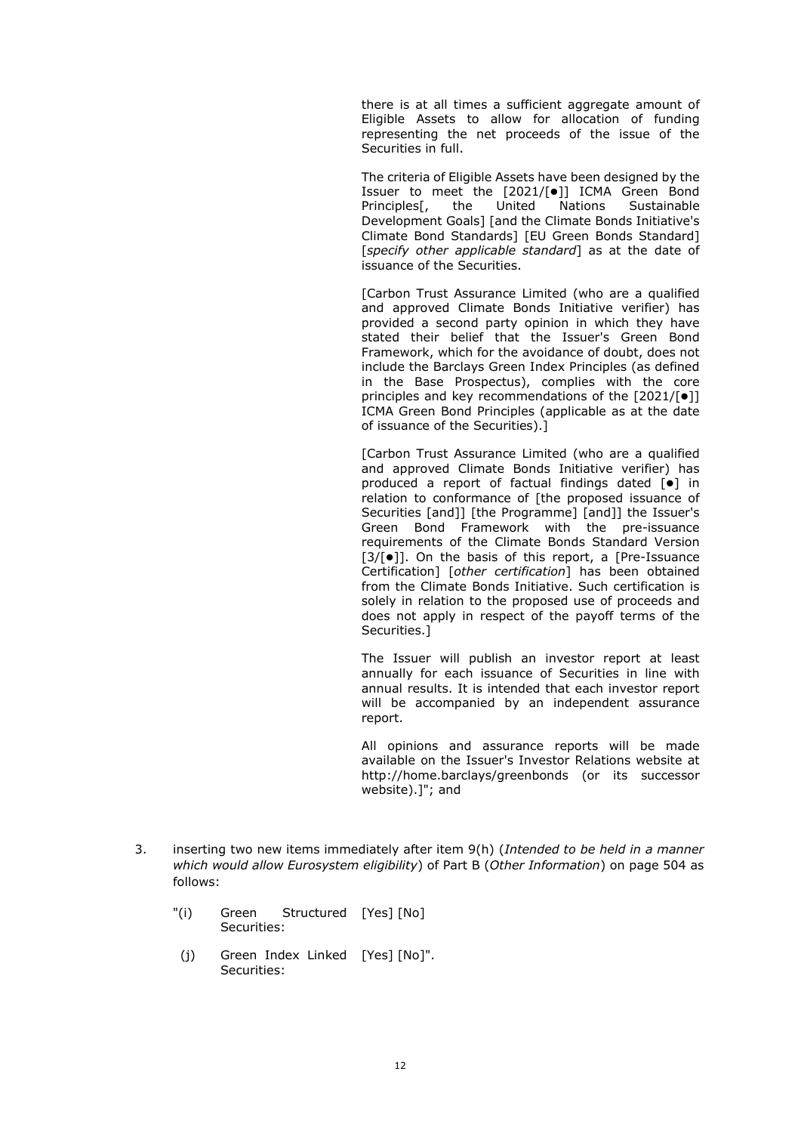there is at all times a sufficient aggregate amount of Eligible Assets to allow for allocation of funding representing the net proceeds of the issue of the Securities in full.

The criteria of Eligible Assets have been designed by the Issuer to meet the [2021/[ $\bullet$ ]] ICMA Green Bond Principles[, the United Nations Sustainable Development Goals] [and the Climate Bonds Initiative's Climate Bond Standards] [EU Green Bonds Standard] [*specify other applicable standard*] as at the date of issuance of the Securities.

[Carbon Trust Assurance Limited (who are a qualified and approved Climate Bonds Initiative verifier) has provided a second party opinion in which they have stated their belief that the Issuer's Green Bond Framework, which for the avoidance of doubt, does not include the Barclays Green Index Principles (as defined in the Base Prospectus), complies with the core principles and key recommendations of the  $[2021/\lceil \bullet \rceil]$ ICMA Green Bond Principles (applicable as at the date of issuance of the Securities).]

[Carbon Trust Assurance Limited (who are a qualified and approved Climate Bonds Initiative verifier) has produced a report of factual findings dated  $\lceil \bullet \rceil$  in relation to conformance of [the proposed issuance of Securities [and]] [the Programme] [and]] the Issuer's Green Bond Framework with the pre-issuance requirements of the Climate Bonds Standard Version  $[3/[\bullet]]$ . On the basis of this report, a [Pre-Issuance Certification] [*other certification*] has been obtained from the Climate Bonds Initiative. Such certification is solely in relation to the proposed use of proceeds and does not apply in respect of the payoff terms of the Securities.]

The Issuer will publish an investor report at least annually for each issuance of Securities in line with annual results. It is intended that each investor report will be accompanied by an independent assurance report.

All opinions and assurance reports will be made available on the Issuer's Investor Relations website at http://home.barclays/greenbonds (or its successor website).]"; and

- 3. inserting two new items immediately after item 9(h) (*Intended to be held in a manner which would allow Eurosystem eligibility*) of Part B (*Other Information*) on page 504 as follows:
	- "(i) Green Structured [Yes] [No] Securities:
	- (j) Green Index Linked [Yes] [No]".Securities: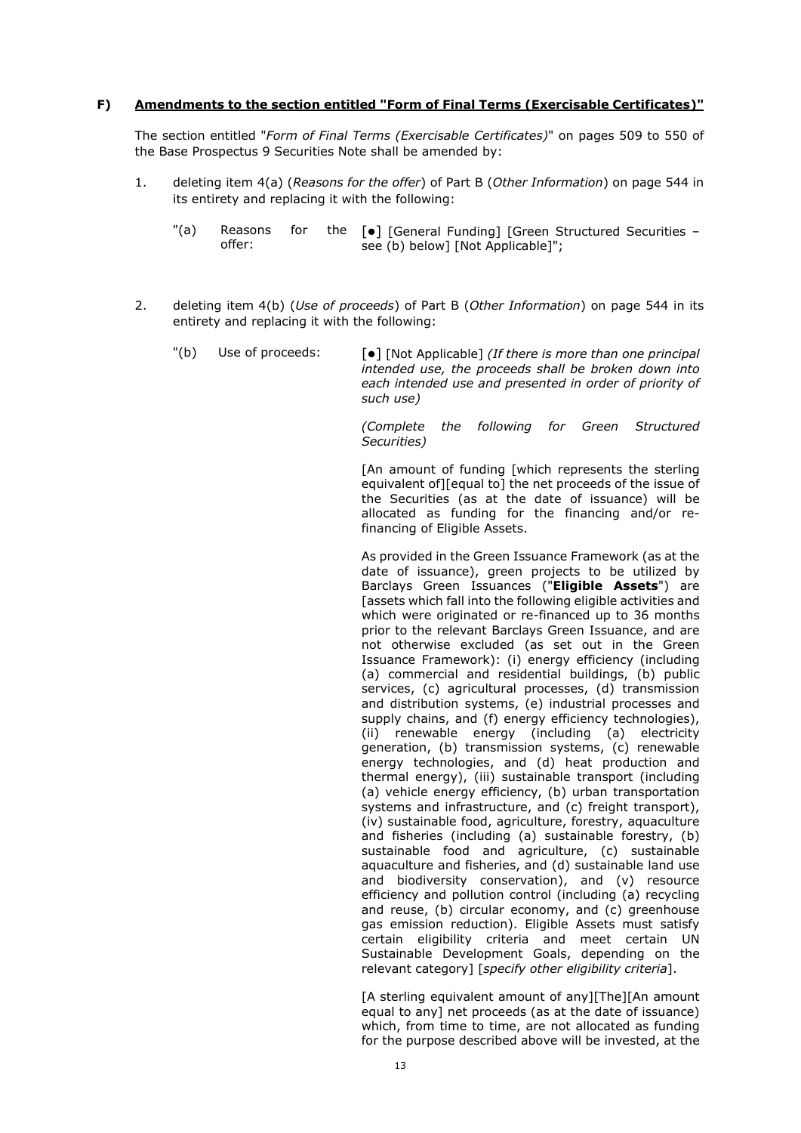### **F) Amendments to the section entitled "Form of Final Terms (Exercisable Certificates)"**

The section entitled "*Form of Final Terms (Exercisable Certificates)*" on pages 509 to 550 of the Base Prospectus 9 Securities Note shall be amended by:

- 1. deleting item 4(a) (*Reasons for the offer*) of Part B (*Other Information*) on page 544 in its entirety and replacing it with the following:
	- "(a) Reasons for offer: the  $[\bullet]$  [General Funding] [Green Structured Securities – see (b) below] [Not Applicable]";
- 2. deleting item 4(b) (*Use of proceeds*) of Part B (*Other Information*) on page 544 in its entirety and replacing it with the following:
	- "(b) Use of proceeds:  $\lceil \bullet \rceil$  [Not Applicable] *(If there is more than one principal intended use, the proceeds shall be broken down into each intended use and presented in order of priority of such use)*

*(Complete the following for Green Structured Securities)*

[An amount of funding [which represents the sterling equivalent of][equal to] the net proceeds of the issue of the Securities (as at the date of issuance) will be allocated as funding for the financing and/or refinancing of Eligible Assets.

As provided in the Green Issuance Framework (as at the date of issuance), green projects to be utilized by Barclays Green Issuances ("**Eligible Assets**") are [assets which fall into the following eligible activities and which were originated or re-financed up to 36 months prior to the relevant Barclays Green Issuance, and are not otherwise excluded (as set out in the Green Issuance Framework): (i) energy efficiency (including (a) commercial and residential buildings, (b) public services, (c) agricultural processes, (d) transmission and distribution systems, (e) industrial processes and supply chains, and (f) energy efficiency technologies), (ii) renewable energy (including (a) electricity generation, (b) transmission systems, (c) renewable energy technologies, and (d) heat production and thermal energy), (iii) sustainable transport (including (a) vehicle energy efficiency, (b) urban transportation systems and infrastructure, and (c) freight transport), (iv) sustainable food, agriculture, forestry, aquaculture and fisheries (including (a) sustainable forestry, (b) sustainable food and agriculture, (c) sustainable aquaculture and fisheries, and (d) sustainable land use and biodiversity conservation), and (v) resource efficiency and pollution control (including (a) recycling and reuse, (b) circular economy, and (c) greenhouse gas emission reduction). Eligible Assets must satisfy certain eligibility criteria and meet certain UN Sustainable Development Goals, depending on the relevant category] [*specify other eligibility criteria*].

[A sterling equivalent amount of any][The][An amount equal to any] net proceeds (as at the date of issuance) which, from time to time, are not allocated as funding for the purpose described above will be invested, at the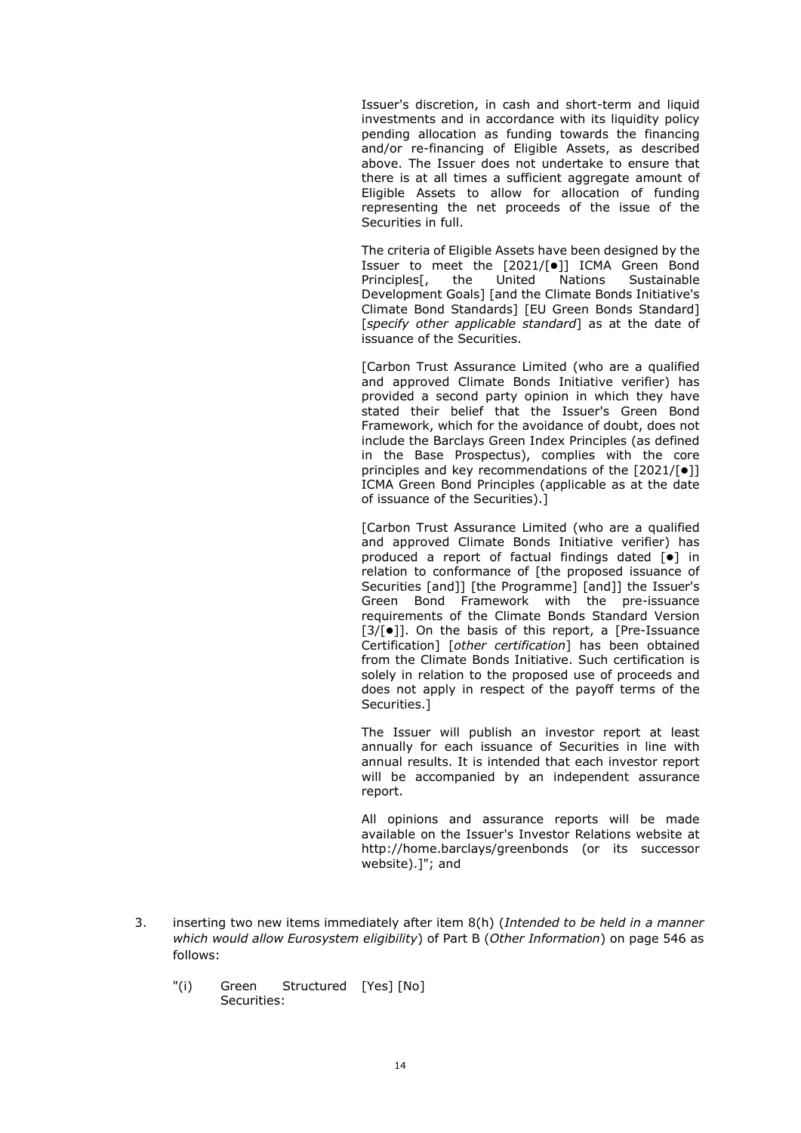Issuer's discretion, in cash and short-term and liquid investments and in accordance with its liquidity policy pending allocation as funding towards the financing and/or re-financing of Eligible Assets, as described above. The Issuer does not undertake to ensure that there is at all times a sufficient aggregate amount of Eligible Assets to allow for allocation of funding representing the net proceeds of the issue of the Securities in full.

The criteria of Eligible Assets have been designed by the Issuer to meet the  $[2021/|\bullet|]$  ICMA Green Bond Principles<sup>[</sup>, the United Nations Sustainable Development Goals] [and the Climate Bonds Initiative's Climate Bond Standards] [EU Green Bonds Standard] [*specify other applicable standard*] as at the date of issuance of the Securities.

[Carbon Trust Assurance Limited (who are a qualified and approved Climate Bonds Initiative verifier) has provided a second party opinion in which they have stated their belief that the Issuer's Green Bond Framework, which for the avoidance of doubt, does not include the Barclays Green Index Principles (as defined in the Base Prospectus), complies with the core principles and key recommendations of the  $[2021/[•]]$ ICMA Green Bond Principles (applicable as at the date of issuance of the Securities).]

[Carbon Trust Assurance Limited (who are a qualified and approved Climate Bonds Initiative verifier) has produced a report of factual findings dated  $\left[ \bullet \right]$  in relation to conformance of [the proposed issuance of Securities [and]] [the Programme] [and]] the Issuer's Green Bond Framework with the pre-issuance requirements of the Climate Bonds Standard Version  $[3/[\bullet]$ ]. On the basis of this report, a  $[Pre-Issuance]$ Certification] [*other certification*] has been obtained from the Climate Bonds Initiative. Such certification is solely in relation to the proposed use of proceeds and does not apply in respect of the payoff terms of the Securities.]

The Issuer will publish an investor report at least annually for each issuance of Securities in line with annual results. It is intended that each investor report will be accompanied by an independent assurance report.

All opinions and assurance reports will be made available on the Issuer's Investor Relations website at http://home.barclays/greenbonds (or its successor website).]"; and

- 3. inserting two new items immediately after item 8(h) (*Intended to be held in a manner which would allow Eurosystem eligibility*) of Part B (*Other Information*) on page 546 as follows:
	- "(i) Green Structured [Yes] [No]Securities: